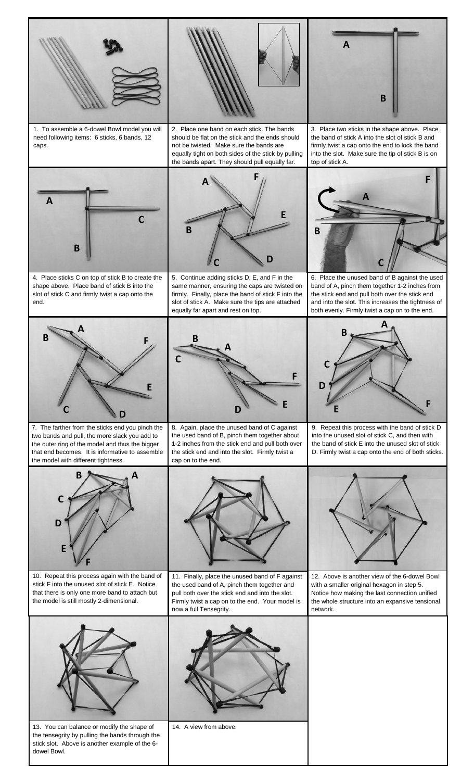

13. You can balance or modify the shape of the tensegrity by pulling the bands through the stick slot. Above is another example of the 6 dowel Bowl.

14. A view from above.